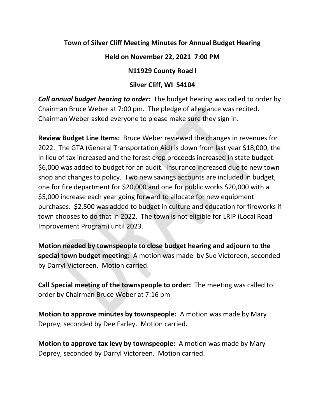## **Town of Silver Cliff Meeting Minutes for Annual Budget Hearing**

## **Held on November 22, 2021 7:00 PM**

## **N11929 County Road I**

## **Silver Cliff, WI 54104**

*Call annual budget hearing to order:* The budget hearing was called to order by Chairman Bruce Weber at 7:00 pm. The pledge of allegiance was recited. Chairman Weber asked everyone to please make sure they sign in.

**Review Budget Line Items:** Bruce Weber reviewed the changes in revenues for 2022. The GTA (General Transportation Aid) is down from last year \$18,000, the in lieu of tax increased and the forest crop proceeds increased in state budget. \$6,000 was added to budget for an audit. Insurance increased due to new town shop and changes to policy. Two new savings accounts are included in budget, one for fire department for \$20,000 and one for public works \$20,000 with a \$5,000 increase each year going forward to allocate for new equipment purchases. \$2,500 was added to budget in culture and education for fireworks if town chooses to do that in 2022. The town is not eligible for LRIP (Local Road Improvement Program) until 2023.

**Motion needed by townspeople to close budget hearing and adjourn to the special town budget meeting:** A motion was made by Sue Victoreen, seconded by Darryl Victoreen. Motion carried.

**Call Special meeting of the townspeople to order:** The meeting was called to order by Chairman Bruce Weber at 7:16 pm

**Motion to approve minutes by townspeople:** A motion was made by Mary Deprey, seconded by Dee Farley. Motion carried.

**Motion to approve tax levy by townspeople:** A motion was made by Mary Deprey, seconded by Darryl Victoreen. Motion carried.